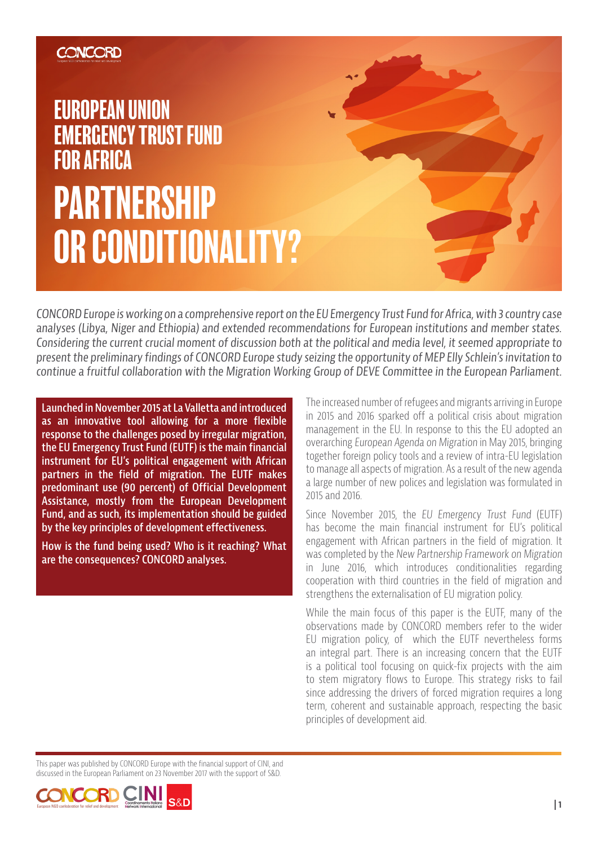## **CONCORD**

# EUROPEAN UNION EMERGENCY TRUST FUND FOR AFRICA PARTNERSHIP OR CONDITIONALITY?

CONCORD Europe is working on a comprehensive report on the EU Emergency Trust Fund for Africa, with 3 country case analyses (Libya, Niger and Ethiopia) and extended recommendations for European institutions and member states. Considering the current crucial moment of discussion both at the political and media level, it seemed appropriate to present the preliminary findings of CONCORD Europe study seizing the opportunity of MEP Elly Schlein's invitation to continue a fruitful collaboration with the Migration Working Group of DEVE Committee in the European Parliament.

**Launched in November 2015 at La Valletta and introduced as an innovative tool allowing for a more flexible response to the challenges posed by irregular migration, the EU Emergency Trust Fund (EUTF) is the main financial instrument for EU's political engagement with African partners in the field of migration. The EUTF makes predominant use (90 percent) of Official Development Assistance, mostly from the European Development Fund, and as such, its implementation should be guided by the key principles of development effectiveness.** 

**How is the fund being used? Who is it reaching? What are the consequences? CONCORD analyses.**

The increased number of refugees and migrants arriving in Europe in 2015 and 2016 sparked off a political crisis about migration management in the EU. In response to this the EU adopted an overarching European Agenda on Migration in May 2015, bringing together foreign policy tools and a review of intra-EU legislation to manage all aspects of migration. As a result of the new agenda a large number of new polices and legislation was formulated in 2015 and 2016.

Since November 2015, the EU Emergency Trust Fund (EUTF) has become the main financial instrument for EU's political engagement with African partners in the field of migration. It was completed by the New Partnership Framework on Migration in June 2016, which introduces conditionalities regarding cooperation with third countries in the field of migration and strengthens the externalisation of EU migration policy.

While the main focus of this paper is the EUTF, many of the observations made by CONCORD members refer to the wider EU migration policy, of which the EUTF nevertheless forms an integral part. There is an increasing concern that the EUTF is a political tool focusing on quick-fix projects with the aim to stem migratory flows to Europe. This strategy risks to fail since addressing the drivers of forced migration requires a long term, coherent and sustainable approach, respecting the basic principles of development aid.

This paper was published by CONCORD Europe with the financial support of CINI, and discussed in the European Parliament on 23 November 2017 with the support of S&D.

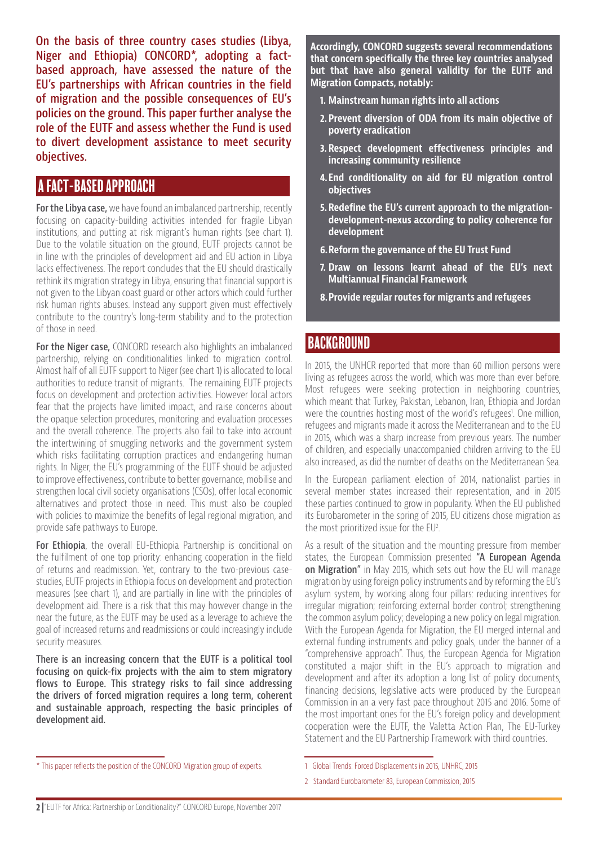**On the basis of three country cases studies (Libya, Niger and Ethiopia) CONCORD\*, adopting a factbased approach, have assessed the nature of the EU's partnerships with African countries in the field of migration and the possible consequences of EU's policies on the ground. This paper further analyse the role of the EUTF and assess whether the Fund is used to divert development assistance to meet security objectives.** 

#### A FACT-BASED APPROACH

**For the Libya case,** we have found an imbalanced partnership, recently focusing on capacity-building activities intended for fragile Libyan institutions, and putting at risk migrant's human rights (see chart 1). Due to the volatile situation on the ground, EUTF projects cannot be in line with the principles of development aid and EU action in Libya lacks effectiveness. The report concludes that the EU should drastically rethink its migration strategy in Libya, ensuring that financial support is not given to the Libyan coast guard or other actors which could further risk human rights abuses. Instead any support given must effectively contribute to the country's long-term stability and to the protection of those in need.

**For the Niger case,** CONCORD research also highlights an imbalanced partnership, relying on conditionalities linked to migration control. Almost half of all EUTF support to Niger (see chart 1) is allocated to local authorities to reduce transit of migrants. The remaining EUTF projects focus on development and protection activities. However local actors fear that the projects have limited impact, and raise concerns about the opaque selection procedures, monitoring and evaluation processes and the overall coherence. The projects also fail to take into account the intertwining of smuggling networks and the government system which risks facilitating corruption practices and endangering human rights. In Niger, the EU's programming of the EUTF should be adjusted to improve effectiveness, contribute to better governance, mobilise and strengthen local civil society organisations (CSOs), offer local economic alternatives and protect those in need. This must also be coupled with policies to maximize the benefits of legal regional migration, and provide safe pathways to Europe.

**For Ethiopia**, the overall EU-Ethiopia Partnership is conditional on the fulfilment of one top priority: enhancing cooperation in the field of returns and readmission. Yet, contrary to the two-previous casestudies, EUTF projects in Ethiopia focus on development and protection measures (see chart 1), and are partially in line with the principles of development aid. There is a risk that this may however change in the near the future, as the EUTF may be used as a leverage to achieve the goal of increased returns and readmissions or could increasingly include security measures.

**There is an increasing concern that the EUTF is a political tool focusing on quick-fix projects with the aim to stem migratory flows to Europe. This strategy risks to fail since addressing the drivers of forced migration requires a long term, coherent and sustainable approach, respecting the basic principles of development aid.**

**Accordingly, CONCORD suggests several recommendations that concern specifically the three key countries analysed but that have also general validity for the EUTF and Migration Compacts, notably:** 

- **1. Mainstream human rights into all actions**
- **2. Prevent diversion of ODA from its main objective of poverty eradication**
- **3. Respect development effectiveness principles and increasing community resilience**
- **4. End conditionality on aid for EU migration control objectives**
- **5. Redefine the EU's current approach to the migrationdevelopment-nexus according to policy coherence for development**
- **6.Reform the governance of the EU Trust Fund**
- **7. Draw on lessons learnt ahead of the EU's next Multiannual Financial Framework**
- **8.Provide regular routes for migrants and refugees**

#### BACKGROUND

In 2015, the UNHCR reported that more than 60 million persons were living as refugees across the world, which was more than ever before. Most refugees were seeking protection in neighboring countries, which meant that Turkey, Pakistan, Lebanon, Iran, Ethiopia and Jordan were the countries hosting most of the world's refugees<sup>1</sup>. One million, refugees and migrants made it across the Mediterranean and to the EU in 2015, which was a sharp increase from previous years. The number of children, and especially unaccompanied children arriving to the EU also increased, as did the number of deaths on the Mediterranean Sea.

In the European parliament election of 2014, nationalist parties in several member states increased their representation, and in 2015 these parties continued to grow in popularity. When the EU published its Eurobarometer in the spring of 2015, EU citizens chose migration as the most prioritized issue for the EU<sup>2</sup>.

As a result of the situation and the mounting pressure from member states, the European Commission presented **"A European Agenda on Migration"** in May 2015, which sets out how the EU will manage migration by using foreign policy instruments and by reforming the EU's asylum system, by working along four pillars: reducing incentives for irregular migration; reinforcing external border control; strengthening the common asylum policy; developing a new policy on legal migration. With the European Agenda for Migration, the EU merged internal and external funding instruments and policy goals, under the banner of a "comprehensive approach". Thus, the European Agenda for Migration constituted a major shift in the EU's approach to migration and development and after its adoption a long list of policy documents, financing decisions, legislative acts were produced by the European Commission in an a very fast pace throughout 2015 and 2016. Some of the most important ones for the EU's foreign policy and development cooperation were the EUTF, the Valetta Action Plan, The EU-Turkey Statement and the EU Partnership Framework with third countries.

<sup>\*</sup> This paper reflects the position of the CONCORD Migration group of experts.

<sup>1</sup> Global Trends: Forced Displacements in 2015, UNHRC, 2015

<sup>2</sup> Standard Eurobarometer 83, European Commission, 2015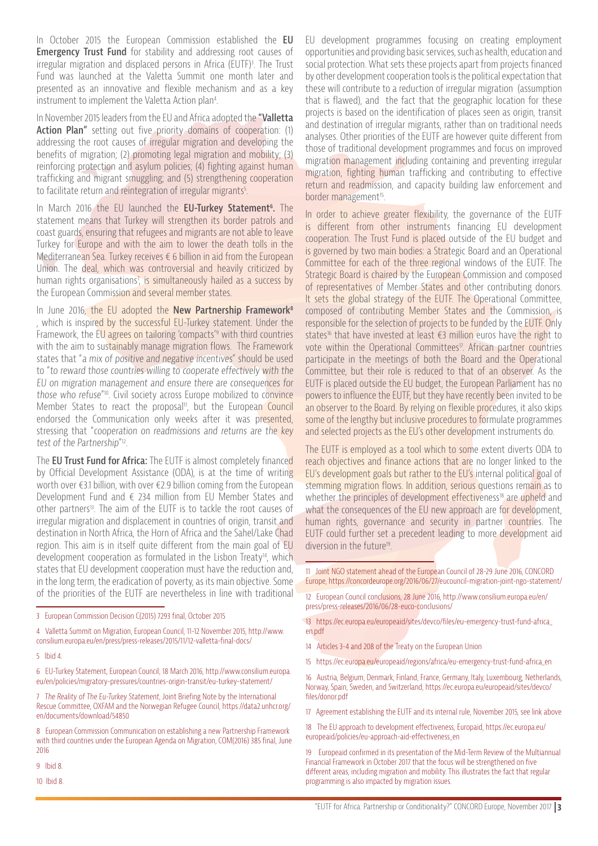In October 2015 the European Commission established the **EU Emergency Trust Fund** for stability and addressing root causes of irregular migration and displaced persons in Africa (EUTF)<sup>3</sup>. The Trust Fund was launched at the Valetta Summit one month later and presented as an innovative and flexible mechanism and as a key instrument to implement the Valetta Action plan4 .

In November 2015 leaders from the EU and Africa adopted the **"Valletta Action Plan"** setting out five priority domains of cooperation: (1) addressing the root causes of irregular migration and developing the benefits of migration; (2) promoting legal migration and mobility; (3) reinforcing protection and asylum policies; (4) fighting against human trafficking and migrant smuggling; and (5) strengthening cooperation to facilitate return and reintegration of irregular migrants<sup>5</sup> .

In March 2016 the EU launched the **EU-Turkey Statement6 .** The statement means that Turkey will strengthen its border patrols and coast guards, ensuring that refugees and migrants are not able to leave Turkey for Europe and with the aim to lower the death tolls in the Mediterranean Sea. Turkey receives € 6 billion in aid from the European Union. The deal, which was controversial and heavily criticized by human rights organisations<sup>7</sup>, is simultaneously hailed as a success by the European Commission and several member states.

In June 2016, the EU adopted the **New Partnership Framework<sup>8</sup>** , which is inspired by the successful EU-Turkey statement. Under the Framework, the EU agrees on tailoring 'compacts'9 with third countries with the aim to sustainably manage migration flows. The Framework states that "a mix of positive and negative incentives" should be used to "to reward those countries willing to cooperate effectively with the EU on migration management and ensure there are consequences for those who refuse"<sup>10</sup>. Civil society across Europe mobilized to convince Member States to react the proposal<sup>11</sup>, but the European Council endorsed the Communication only weeks after it was presented, stressing that "cooperation on readmissions and returns are the key test of the Partnership" 12.

The **EU Trust Fund for Africa:** The EUTF is almost completely financed by Official Development Assistance (ODA), is at the time of writing worth over €3.1 billion, with over €2.9 billion coming from the European Development Fund and € 234 million from EU Member States and other partners<sup>13</sup>. The aim of the EUTF is to tackle the root causes of irregular migration and displacement in countries of origin, transit and destination in North Africa, the Horn of Africa and the Sahel/Lake Chad region. This aim is in itself quite different from the main goal of EU development cooperation as formulated in the Lisbon Treaty<sup>14</sup>, which states that EU development cooperation must have the reduction and, in the long term, the eradication of poverty, as its main objective. Some of the priorities of the EUTF are nevertheless in line with traditional

6 EU-Turkey Statement, European Council, 18 March 2016, http://www.consilium.europa. eu/en/policies/migratory-pressures/countries-origin-transit/eu-turkey-statement/

7 The Reality of The Eu-Turkey Statement, Joint Briefing Note by the International Rescue Committee, OXFAM and the Norwegian Refugee Council, https://data2.unhcr.org/ en/documents/download/54850

8 European Commission Communication on establishing a new Partnership Framework with third countries under the European Agenda on Migration, COM(2016) 385 final, June 2016

9 Ibid 8.

10 Ibid 8.

EU development programmes focusing on creating employment opportunities and providing basic services, such as health, education and social protection. What sets these projects apart from projects financed by other development cooperation tools is the political expectation that these will contribute to a reduction of irregular migration (assumption that is flawed), and the fact that the geographic location for these projects is based on the identification of places seen as origin, transit and destination of irregular migrants, rather than on traditional needs analyses. Other priorities of the EUTF are however quite different from those of traditional development programmes and focus on improved migration management including containing and preventing irregular migration, fighting human trafficking and contributing to effective return and readmission, and capacity building law enforcement and border management<sup>15</sup>.

In order to achieve greater flexibility, the governance of the EUTF is different from other instruments financing EU development cooperation. The Trust Fund is placed outside of the EU budget and is governed by two main bodies: a Strategic Board and an Operational Committee for each of the three regional windows of the EUTF. The Strategic Board is chaired by the European Commission and composed of representatives of Member States and other contributing donors. It sets the global strategy of the EUTF. The Operational Committee, composed of contributing Member States and the Commission, is responsible for the selection of projects to be funded by the EUTF. Only states<sup>16</sup> that have invested at least €3 million euros have the right to vote within the Operational Committees<sup>17</sup>. African partner countries participate in the meetings of both the Board and the Operational Committee, but their role is reduced to that of an observer. As the EUTF is placed outside the EU budget, the European Parliament has no powers to influence the EUTF, but they have recently been invited to be an observer to the Board. By relying on flexible procedures, it also skips some of the lengthy but inclusive procedures to formulate programmes and selected projects as the EU's other development instruments do.

The EUTF is employed as a tool which to some extent diverts ODA to reach objectives and finance actions that are no longer linked to the EU's development goals but rather to the EU's internal political goal of stemming migration flows. In addition, serious questions remain as to whether the principles of development effectiveness<sup>18</sup> are upheld and what the consequences of the EU new approach are for development, human rights, governance and security in partner countries. The EUTF could further set a precedent leading to more development aid diversion in the future<sup>19</sup>.

11 Joint NGO statement ahead of the European Council of 28-29 June 2016, CONCORD Europe, https://concordeurope.org/2016/06/27/eucouncil-migration-joint-ngo-statement/

12 European Council conclusions, 28 June 2016, http://www.consilium.europa.eu/en/ press/press-releases/2016/06/28-euco-conclusions/

13 https://ec.europa.eu/europeaid/sites/devco/files/eu-emergency-trust-fund-africa\_ en.pdf

- 14 Articles 3-4 and 208 of the Treaty on the European Union
- 15 https://ec.europa.eu/europeaid/regions/africa/eu-emergency-trust-fund-africa\_en

16 Austria, Belgium, Denmark, Finland, France, Germany, Italy, Luxembourg, Netherlands, Norway, Spain, Sweden, and Switzerland, https://ec.europa.eu/europeaid/sites/devco/ files/donor.pdf

17 Agreement establishing the EUTF and its internal rule, November 2015, see link above

18 The EU approach to development effectiveness, Europaid, https://ec.europa.eu/ europeaid/policies/eu-approach-aid-effectiveness\_en

19 Europeaid confirmed in its presentation of the Mid-Term Review of the Multiannual Financial Framework in October 2017 that the focus will be strengthened on five different areas, including migration and mobility. This illustrates the fact that regular programming is also impacted by migration issues.

<sup>3</sup> European Commission Decision C(2015) 7293 final, October 2015

<sup>4</sup> Valletta Summit on Migration, European Council, 11-12 November 2015, http://www. consilium.europa.eu/en/press/press-releases/2015/11/12-valletta-final-docs/

<sup>5</sup> Ibid 4.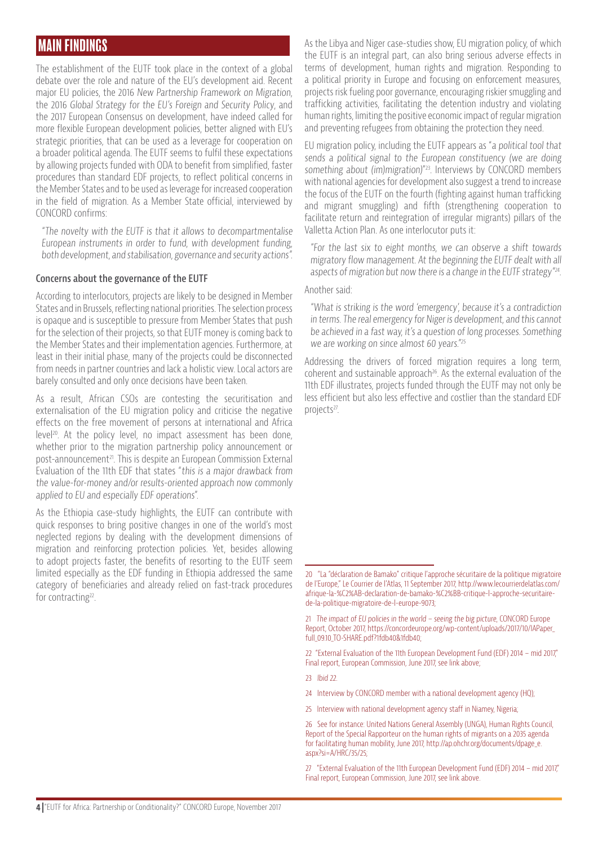### MAIN FINDINGS

The establishment of the EUTF took place in the context of a global debate over the role and nature of the EU's development aid. Recent major EU policies, the 2016 New Partnership Framework on Migration, the 2016 Global Strategy for the EU's Foreign and Security Policy, and the 2017 European Consensus on development, have indeed called for more flexible European development policies, better aligned with EU's strategic priorities, that can be used as a leverage for cooperation on a broader political agenda. The EUTF seems to fulfil these expectations by allowing projects funded with ODA to benefit from simplified, faster procedures than standard EDF projects, to reflect political concerns in the Member States and to be used as leverage for increased cooperation in the field of migration. As a Member State official, interviewed by CONCORD confirms:

"The novelty with the EUTF is that it allows to decompartmentalise European instruments in order to fund, with development funding, both development, and stabilisation, governance and security actions".

#### **Concerns about the governance of the EUTF**

According to interlocutors, projects are likely to be designed in Member States and in Brussels, reflecting national priorities. The selection process is opaque and is susceptible to pressure from Member States that push for the selection of their projects, so that EUTF money is coming back to the Member States and their implementation agencies. Furthermore, at least in their initial phase, many of the projects could be disconnected from needs in partner countries and lack a holistic view. Local actors are barely consulted and only once decisions have been taken.

As a result, African CSOs are contesting the securitisation and externalisation of the EU migration policy and criticise the negative effects on the free movement of persons at international and Africa level<sup>20</sup>. At the policy level, no impact assessment has been done, whether prior to the migration partnership policy announcement or post-announcement21. This is despite an European Commission External Evaluation of the 11th EDF that states "this is a major drawback from the value-for-money and/or results-oriented approach now commonly applied to EU and especially EDF operations".

As the Ethiopia case-study highlights, the EUTF can contribute with quick responses to bring positive changes in one of the world's most neglected regions by dealing with the development dimensions of migration and reinforcing protection policies. Yet, besides allowing to adopt projects faster, the benefits of resorting to the EUTF seem limited especially as the EDF funding in Ethiopia addressed the same category of beneficiaries and already relied on fast-track procedures for contracting<sup>22</sup>.

As the Libya and Niger case-studies show, EU migration policy, of which the EUTF is an integral part, can also bring serious adverse effects in terms of development, human rights and migration. Responding to a political priority in Europe and focusing on enforcement measures, projects risk fueling poor governance, encouraging riskier smuggling and trafficking activities, facilitating the detention industry and violating human rights, limiting the positive economic impact of regular migration and preventing refugees from obtaining the protection they need.

EU migration policy, including the EUTF appears as "a political tool that sends a political signal to the European constituency (we are doing something about (im)migration)" 23. Interviews by CONCORD members with national agencies for development also suggest a trend to increase the focus of the EUTF on the fourth (fighting against human trafficking and migrant smuggling) and fifth (strengthening cooperation to facilitate return and reintegration of irregular migrants) pillars of the Valletta Action Plan. As one interlocutor puts it:

"For the last six to eight months, we can observe a shift towards migratory flow management. At the beginning the EUTF dealt with all aspects of migration but now there is a change in the EUTF strategy"<sup>24</sup>.

#### Another said:

"What is striking is the word 'emergency', because it's a contradiction in terms. The real emergency for Niger is development, and this cannot be achieved in a fast way, it's a question of long processes. Something we are working on since almost 60 years."25

Addressing the drivers of forced migration requires a long term, coherent and sustainable approach<sup>26</sup>. As the external evaluation of the 11th EDF illustrates, projects funded through the EUTF may not only be less efficient but also less effective and costlier than the standard EDF projects<sup>27</sup>.

24 Interview by CONCORD member with a national development agency (HQ);

27 "External Evaluation of the 11th European Development Fund (EDF) 2014 – mid 2017," Final report, European Commission, June 2017, see link above.

<sup>20 &</sup>quot;La "déclaration de Bamako" critique l'approche sécuritaire de la politique migratoire de l'Europe," Le Courrier de l'Atlas, 11 September 2017, http://www.lecourrierdelatlas.com/ afrique-la-%C2%AB-declaration-de-bamako-%C2%BB-critique-l-approche-securitairede-la-politique-migratoire-de-l-europe-9073;

<sup>21</sup> The impact of EU policies in the world - seeing the big picture, CONCORD Europe Report, October 2017, https://concordeurope.org/wp-content/uploads/2017/10/IAPaper\_ full\_09.10\_TO-SHARE.pdf?1fdb40&1fdb40;

<sup>22 &</sup>quot;External Evaluation of the 11th European Development Fund (EDF) 2014 – mid 2017," Final report, European Commission, June 2017, see link above;

<sup>23</sup> Ibid 22.

<sup>25</sup> Interview with national development agency staff in Niamey, Nigeria;

<sup>26</sup> See for instance: United Nations General Assembly (UNGA), Human Rights Council, Report of the Special Rapporteur on the human rights of migrants on a 2035 agenda for facilitating human mobility, June 2017, http://ap.ohchr.org/documents/dpage\_e. aspx?si=A/HRC/35/25;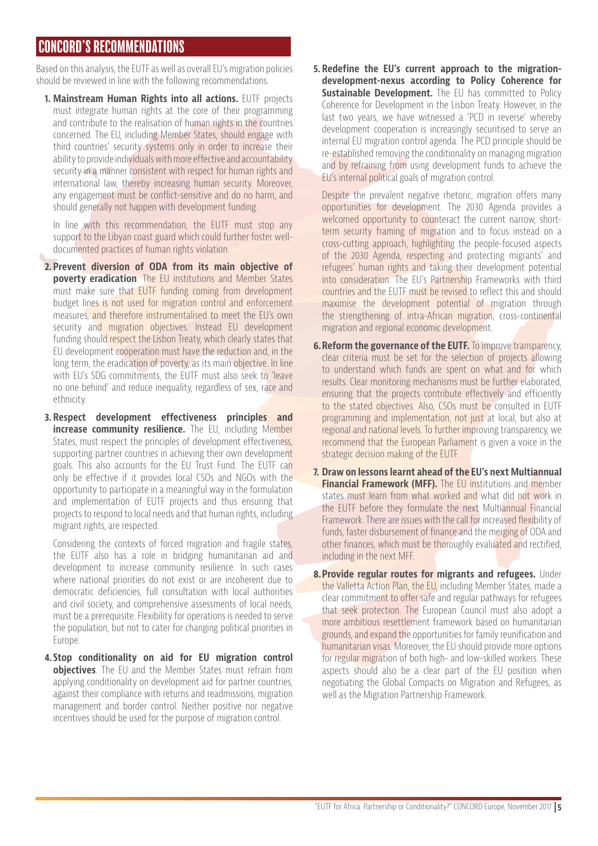## CONCORD'S RECOMMENDATIONS

Based on this analysis, the EUTF as well as overall EU's migration policies should be reviewed in line with the following recommendations.

**1. Mainstream Human Rights into all actions.** EUTF projects must integrate human rights at the core of their programming and contribute to the realisation of human rights in the countries concerned. The EU, including Member States, should engage with third countries' security systems only in order to increase their ability to provide individuals with more effective and accountability security in a manner consistent with respect for human rights and international law, thereby increasing human security. Moreover, any engagement must be conflict-sensitive and do no harm, and should generally not happen with development funding.

In line with this recommendation, the EUTF must stop any support to the Libyan coast guard which could further foster welldocumented practices of human rights violation.

- **2. Prevent diversion of ODA from its main objective of poverty eradication**. The EU institutions and Member States must make sure that EUTF funding coming from development budget lines is not used for migration control and enforcement measures, and therefore instrumentalised to meet the EU's own security and migration objectives. Instead EU development funding should respect the Lisbon Treaty, which clearly states that EU development cooperation must have the reduction and, in the long term, the eradication of poverty, as its main objective. In line with EU's SDG commitments, the EUTF must also seek to 'leave no one behind' and reduce inequality, regardless of sex, race and ethnicity.
- **3. Respect development effectiveness principles and increase community resilience.** The EU, including Member States, must respect the principles of development effectiveness, supporting partner countries in achieving their own development goals. This also accounts for the EU Trust Fund. The EUTF can only be effective if it provides local CSOs and NGOs with the opportunity to participate in a meaningful way in the formulation and implementation of EUTF projects and thus ensuring that projects to respond to local needs and that human rights, including migrant rights, are respected.

Considering the contexts of forced migration and fragile states, the EUTF also has a role in bridging humanitarian aid and development to increase community resilience. In such cases where national priorities do not exist or are incoherent due to democratic deficiencies, full consultation with local authorities and civil society, and comprehensive assessments of local needs, must be a prerequisite. Flexibility for operations is needed to serve the population, but not to cater for changing political priorities in Europe.

**4. Stop conditionality on aid for EU migration control objectives**. The EU and the Member States must refrain from applying conditionality on development aid for partner countries, against their compliance with returns and readmissions, migration management and border control. Neither positive nor negative incentives should be used for the purpose of migration control.

**5. Redefine the EU's current approach to the migrationdevelopment-nexus according to Policy Coherence for Sustainable Development.** The EU has committed to Policy Coherence for Development in the Lisbon Treaty. However, in the last two years, we have witnessed a 'PCD in reverse' whereby development cooperation is increasingly securitised to serve an internal EU migration control agenda. The PCD principle should be re-established removing the conditionality on managing migration and by refraining from using development funds to achieve the EU's internal political goals of migration control.

Despite the prevalent negative rhetoric, migration offers many opportunities for development. The 2030 Agenda provides a welcomed opportunity to counteract the current narrow, shortterm security framing of migration and to focus instead on a cross-cutting approach, highlighting the people-focused aspects of the 2030 Agenda, respecting and protecting migrants' and refugees' human rights and taking their development potential into consideration. The EU's Partnership Frameworks with third countries and the EUTF must be revised to reflect this and should maximise the development potential of migration through the strengthening of intra-African migration, cross-continental migration and regional economic development.

- **6. Reform the governance of the EUTF.** To improve transparency, clear criteria must be set for the selection of projects allowing to understand which funds are spent on what and for which results. Clear monitoring mechanisms must be further elaborated, ensuring that the projects contribute effectively and efficiently to the stated objectives. Also, CSOs must be consulted in EUTF programming and implementation, not just at local, but also at regional and national levels. To further improving transparency, we recommend that the European Parliament is given a voice in the strategic decision making of the EUTF.
- **7. Draw on lessons learnt ahead of the EU's next Multiannual Financial Framework (MFF).** The EU institutions and member states must learn from what worked and what did not work in the EUTF before they formulate the next Multiannual Financial Framework. There are issues with the call for increased flexibility of funds, faster disbursement of finance and the merging of ODA and other finances, which must be thoroughly evaluated and rectified, including in the next MFF.
- **8.Provide regular routes for migrants and refugees.** Under the Valletta Action Plan, the EU, including Member States, made a clear commitment to offer safe and regular pathways for refugees that seek protection. The European Council must also adopt a more ambitious resettlement framework based on humanitarian grounds, and expand the opportunities for family reunification and humanitarian visas. Moreover, the EU should provide more options for regular migration of both high- and low-skilled workers. These aspects should also be a clear part of the EU position when negotiating the Global Compacts on Migration and Refugees, as well as the Migration Partnership Framework.